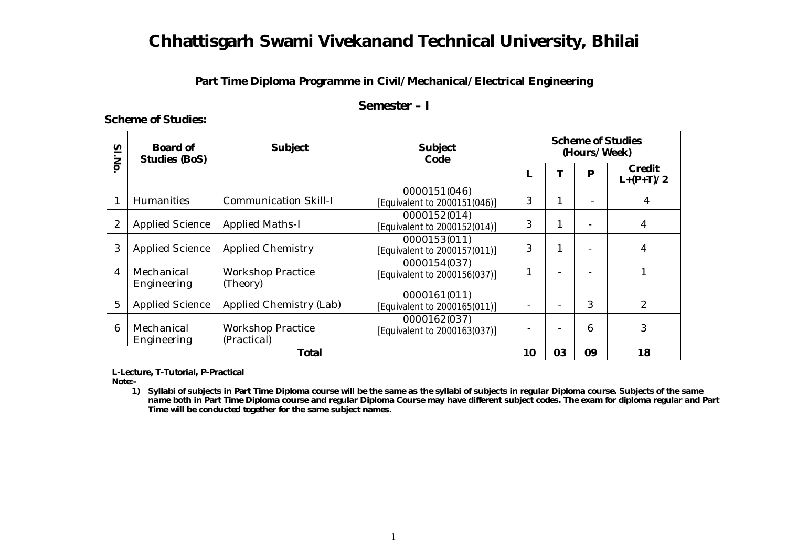## **Part Time Diploma Programme in Civil/Mechanical/Electrical Engineering**

### **Semester – I**

#### **Scheme of Studies:**

| SI.No        | Board of<br><b>Studies (BoS)</b> | <b>Subject</b>                          | <b>Subject</b><br>Code                       | <b>Scheme of Studies</b><br>(Hours/Week) |    |    |                       |
|--------------|----------------------------------|-----------------------------------------|----------------------------------------------|------------------------------------------|----|----|-----------------------|
|              |                                  |                                         |                                              |                                          |    | P  | Credit<br>$L+(P+T)/2$ |
|              | <b>Humanities</b>                | <b>Communication Skill-I</b>            | 0000151(046)<br>[Equivalent to 2000151(046)] | 3                                        |    |    | 4                     |
| 2            | <b>Applied Science</b>           | <b>Applied Maths-I</b>                  | 0000152(014)<br>[Equivalent to 2000152(014)] | 3                                        |    |    | 4                     |
| 3            | <b>Applied Science</b>           | <b>Applied Chemistry</b>                | 0000153(011)<br>[Equivalent to 2000157(011)] | 3                                        | 1  |    | 4                     |
| 4            | Mechanical<br>Engineering        | <b>Workshop Practice</b><br>(Theory)    | 0000154(037)<br>[Equivalent to 2000156(037)] | 1                                        |    |    |                       |
| 5            | <b>Applied Science</b>           | <b>Applied Chemistry (Lab)</b>          | 0000161(011)<br>[Equivalent to 2000165(011)] |                                          |    | 3  | $\overline{2}$        |
| 6            | Mechanical<br>Engineering        | <b>Workshop Practice</b><br>(Practical) | 0000162(037)<br>[Equivalent to 2000163(037)] |                                          |    | 6  | 3                     |
| <b>Total</b> |                                  |                                         |                                              | 10                                       | 03 | 09 | 18                    |

 **L-Lecture, T-Tutorial, P-Practical**

 **Note:-**

**1) Syllabi of subjects in Part Time Diploma course will be the same as the syllabi of subjects in regular Diploma course. Subjects of the same name both in Part Time Diploma course and regular Diploma Course may have different subject codes. The exam for diploma regular and Part Time will be conducted together for the same subject names.**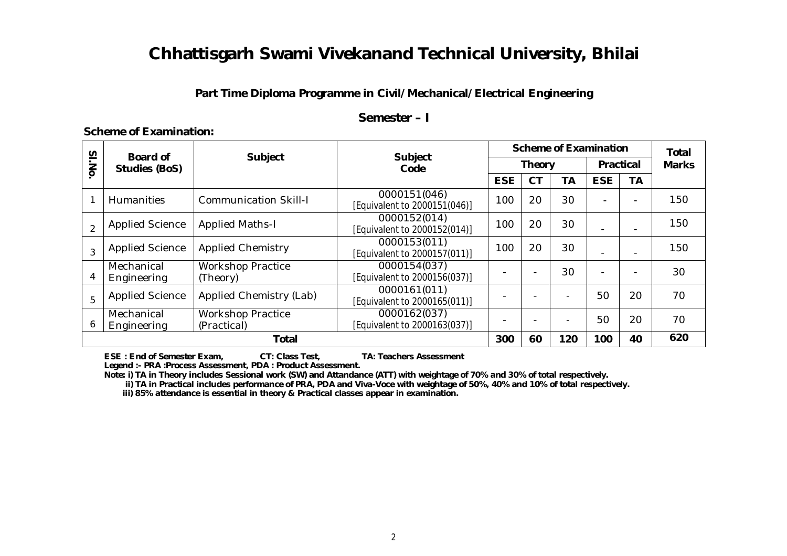## **Part Time Diploma Programme in Civil/Mechanical/Electrical Engineering**

### **Semester – I**

| SI.No         | <b>Board of</b><br><b>Studies (BoS)</b> | <b>Subject</b>                          | <b>Subject</b><br>Code                       | <b>Scheme of Examination</b> | <b>Total</b> |                          |                          |           |              |
|---------------|-----------------------------------------|-----------------------------------------|----------------------------------------------|------------------------------|--------------|--------------------------|--------------------------|-----------|--------------|
|               |                                         |                                         |                                              | <b>Theory</b>                |              |                          | <b>Practical</b>         |           | <b>Marks</b> |
|               |                                         |                                         |                                              | <b>ESE</b>                   | <b>CT</b>    | <b>TA</b>                | <b>ESE</b>               | <b>TA</b> |              |
|               | <b>Humanities</b>                       | <b>Communication Skill-I</b>            | 0000151(046)<br>[Equivalent to 2000151(046)] | 100                          | 20           | 30                       |                          |           | 150          |
| $\mathcal{P}$ | <b>Applied Science</b>                  | <b>Applied Maths-I</b>                  | 0000152(014)<br>[Equivalent to 2000152(014)] | 100                          | 20           | 30                       | $\blacksquare$           |           | 150          |
| 3             | <b>Applied Science</b>                  | <b>Applied Chemistry</b>                | 0000153(011)<br>[Equivalent to 2000157(011)] | 100                          | 20           | 30                       |                          |           | 150          |
| 4             | Mechanical<br>Engineering               | <b>Workshop Practice</b><br>(Theory)    | 0000154(037)<br>[Equivalent to 2000156(037)] |                              |              | 30                       | $\overline{\phantom{a}}$ |           | 30           |
| 5             | <b>Applied Science</b>                  | Applied Chemistry (Lab)                 | 0000161(011)<br>[Equivalent to 2000165(011)] |                              |              |                          | 50                       | 20        | 70           |
| 6             | Mechanical<br>Engineering               | <b>Workshop Practice</b><br>(Practical) | 0000162(037)<br>[Equivalent to 2000163(037)] |                              |              | $\overline{\phantom{0}}$ | 50                       | 20        | 70           |
| <b>Total</b>  |                                         |                                         |                                              | 300                          | 60           | 120                      | 100                      | 40        | 620          |

### **Scheme of Examination:**

 **ESE : End of Semester Exam, CT: Class Test, TA: Teachers Assessment**

 **Legend :- PRA :Process Assessment, PDA : Product Assessment.**

 **Note: i) TA in Theory includes Sessional work (SW) and Attandance (ATT) with weightage of 70% and 30% of total respectively.**

 **ii) TA in Practical includes performance of PRA, PDA and Viva-Voce with weightage of 50%, 40% and 10% of total respectively.**

 **iii) 85% attendance is essential in theory & Practical classes appear in examination.**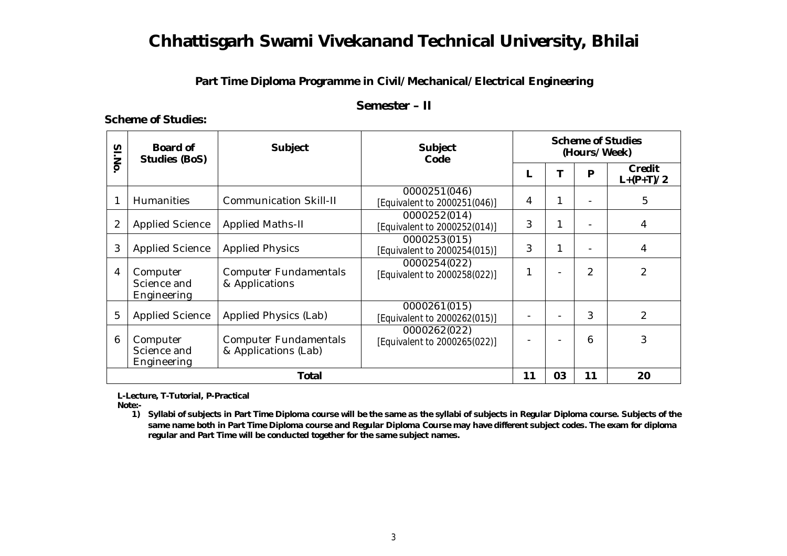## **Part Time Diploma Programme in Civil/Mechanical/Electrical Engineering**

### **Semester – II**

### **Scheme of Studies:**

| SI.No        | Board of<br><b>Studies (BoS)</b>       | <b>Subject</b>                                       | <b>Subject</b><br>Code                       | <b>Scheme of Studies</b><br>(Hours/Week) |    |    |                       |
|--------------|----------------------------------------|------------------------------------------------------|----------------------------------------------|------------------------------------------|----|----|-----------------------|
|              |                                        |                                                      |                                              |                                          |    | P  | Credit<br>$L+(P+T)/2$ |
|              | <b>Humanities</b>                      | <b>Communication Skill-II</b>                        | 0000251(046)<br>[Equivalent to 2000251(046)] | 4                                        |    |    | 5                     |
| 2            | <b>Applied Science</b>                 | <b>Applied Maths-II</b>                              | 0000252(014)<br>[Equivalent to 2000252(014)] | 3                                        |    |    | 4                     |
| 3            | <b>Applied Science</b>                 | <b>Applied Physics</b>                               | 0000253(015)<br>[Equivalent to 2000254(015)] | 3                                        |    |    | 4                     |
| 4            | Computer<br>Science and<br>Engineering | <b>Computer Fundamentals</b><br>& Applications       | 0000254(022)<br>[Equivalent to 2000258(022)] |                                          |    | 2  | 2                     |
| 5            | <b>Applied Science</b>                 | Applied Physics (Lab)                                | 0000261(015)<br>[Equivalent to 2000262(015)] |                                          |    | 3  | 2                     |
| 6            | Computer<br>Science and<br>Engineering | <b>Computer Fundamentals</b><br>& Applications (Lab) | 0000262(022)<br>[Equivalent to 2000265(022)] |                                          |    | 6  | 3                     |
| <b>Total</b> |                                        |                                                      |                                              | 11                                       | 03 | 11 | 20                    |

 **L-Lecture, T-Tutorial, P-Practical**

 **Note:-**

**1) Syllabi of subjects in Part Time Diploma course will be the same as the syllabi of subjects in Regular Diploma course. Subjects of the same name both in Part Time Diploma course and Regular Diploma Course may have different subject codes. The exam for diploma regular and Part Time will be conducted together for the same subject names.**